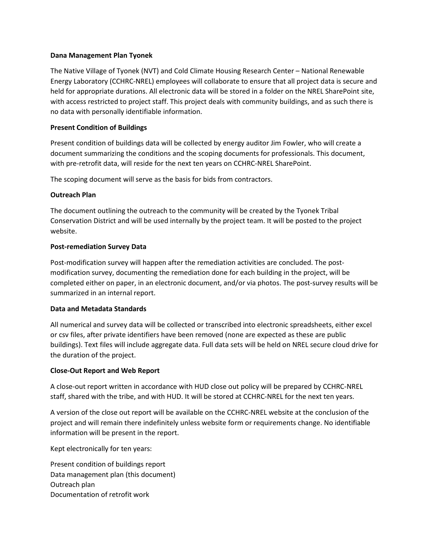#### **Dana Management Plan Tyonek**

The Native Village of Tyonek (NVT) and Cold Climate Housing Research Center – National Renewable Energy Laboratory (CCHRC-NREL) employees will collaborate to ensure that all project data is secure and held for appropriate durations. All electronic data will be stored in a folder on the NREL SharePoint site, with access restricted to project staff. This project deals with community buildings, and as such there is no data with personally identifiable information.

## **Present Condition of Buildings**

Present condition of buildings data will be collected by energy auditor Jim Fowler, who will create a document summarizing the conditions and the scoping documents for professionals. This document, with pre-retrofit data, will reside for the next ten years on CCHRC-NREL SharePoint.

The scoping document will serve as the basis for bids from contractors.

# **Outreach Plan**

The document outlining the outreach to the community will be created by the Tyonek Tribal Conservation District and will be used internally by the project team. It will be posted to the project website.

### **Post-remediation Survey Data**

Post-modification survey will happen after the remediation activities are concluded. The postmodification survey, documenting the remediation done for each building in the project, will be completed either on paper, in an electronic document, and/or via photos. The post-survey results will be summarized in an internal report.

### **Data and Metadata Standards**

All numerical and survey data will be collected or transcribed into electronic spreadsheets, either excel or csv files, after private identifiers have been removed (none are expected as these are public buildings). Text files will include aggregate data. Full data sets will be held on NREL secure cloud drive for the duration of the project.

### **Close-Out Report and Web Report**

A close-out report written in accordance with HUD close out policy will be prepared by CCHRC-NREL staff, shared with the tribe, and with HUD. It will be stored at CCHRC-NREL for the next ten years.

A version of the close out report will be available on the CCHRC-NREL website at the conclusion of the project and will remain there indefinitely unless website form or requirements change. No identifiable information will be present in the report.

Kept electronically for ten years:

Present condition of buildings report Data management plan (this document) Outreach plan Documentation of retrofit work